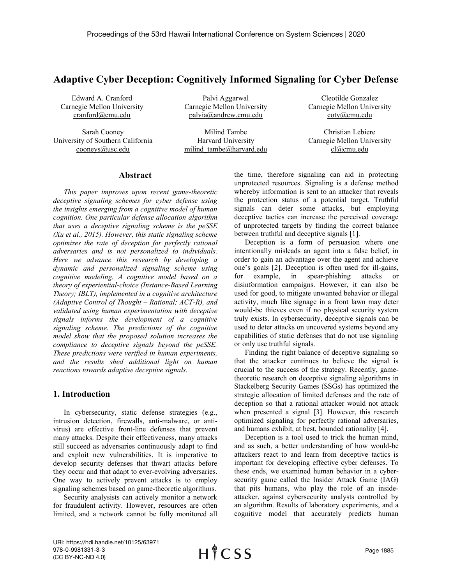# **Adaptive Cyber Deception: Cognitively Informed Signaling for Cyber Defense**

Edward A. Cranford Carnegie Mellon University [cranford@cmu.edu](mailto:cranford@cmu.edu)

Sarah Cooney University of Southern California [cooneys@usc.edu](mailto:cooneys@usc.edu)

Palvi Aggarwal Carnegie Mellon University [palvia@andrew.cmu.edu](mailto:palvia@andrew.cmu.edu)

Milind Tambe Harvard University [milind\\_tambe@harvard.edu](mailto:milind_tambe@harvard.edu)

Cleotilde Gonzalez Carnegie Mellon University [coty@cmu.edu](mailto:coty@cmu.edu)

Christian Lebiere Carnegie Mellon University [cl@cmu.edu](mailto:cl@cmu.edu)

#### **Abstract**

*This paper improves upon recent game-theoretic deceptive signaling schemes for cyber defense using the insights emerging from a cognitive model of human cognition. One particular defense allocation algorithm that uses a deceptive signaling scheme is the peSSE (Xu et al., 2015). However, this static signaling scheme optimizes the rate of deception for perfectly rational adversaries and is not personalized to individuals. Here we advance this research by developing a dynamic and personalized signaling scheme using cognitive modeling. A cognitive model based on a theory of experiential-choice (Instance-Based Learning Theory; IBLT), implemented in a cognitive architecture (Adaptive Control of Thought – Rational; ACT-R), and validated using human experimentation with deceptive signals informs the development of a cognitive signaling scheme. The predictions of the cognitive model show that the proposed solution increases the compliance to deceptive signals beyond the peSSE. These predictions were verified in human experiments, and the results shed additional light on human reactions towards adaptive deceptive signals.*

### **1. Introduction**

In cybersecurity, static defense strategies (e.g., intrusion detection, firewalls, anti-malware, or antivirus) are effective front-line defenses that prevent many attacks. Despite their effectiveness, many attacks still succeed as adversaries continuously adapt to find and exploit new vulnerabilities. It is imperative to develop security defenses that thwart attacks before they occur and that adapt to ever-evolving adversaries. One way to actively prevent attacks is to employ signaling schemes based on game-theoretic algorithms.

Security analysists can actively monitor a network for fraudulent activity. However, resources are often limited, and a network cannot be fully monitored all

the time, therefore signaling can aid in protecting unprotected resources. Signaling is a defense method whereby information is sent to an attacker that reveals the protection status of a potential target. Truthful signals can deter some attacks, but employing deceptive tactics can increase the perceived coverage of unprotected targets by finding the correct balance between truthful and deceptive signals [1].

Deception is a form of persuasion where one intentionally misleads an agent into a false belief, in order to gain an advantage over the agent and achieve one's goals [2]. Deception is often used for ill-gains, for example, in spear-phishing attacks or disinformation campaigns. However, it can also be used for good, to mitigate unwanted behavior or illegal activity, much like signage in a front lawn may deter would-be thieves even if no physical security system truly exists. In cybersecurity, deceptive signals can be used to deter attacks on uncovered systems beyond any capabilities of static defenses that do not use signaling or only use truthful signals.

Finding the right balance of deceptive signaling so that the attacker continues to believe the signal is crucial to the success of the strategy. Recently, gametheoretic research on deceptive signaling algorithms in Stackelberg Security Games (SSGs) has optimized the strategic allocation of limited defenses and the rate of deception so that a rational attacker would not attack when presented a signal [3]. However, this research optimized signaling for perfectly rational adversaries, and humans exhibit, at best, bounded rationality [4].

Deception is a tool used to trick the human mind, and as such, a better understanding of how would-be attackers react to and learn from deceptive tactics is important for developing effective cyber defenses. To these ends, we examined human behavior in a cybersecurity game called the Insider Attack Game (IAG) that pits humans, who play the role of an insideattacker, against cybersecurity analysts controlled by an algorithm. Results of laboratory experiments, and a cognitive model that accurately predicts human

URI: https://hdl.handle.net/10125/63971 978-0-9981331-3-3 (CC BY-NC-ND 4.0)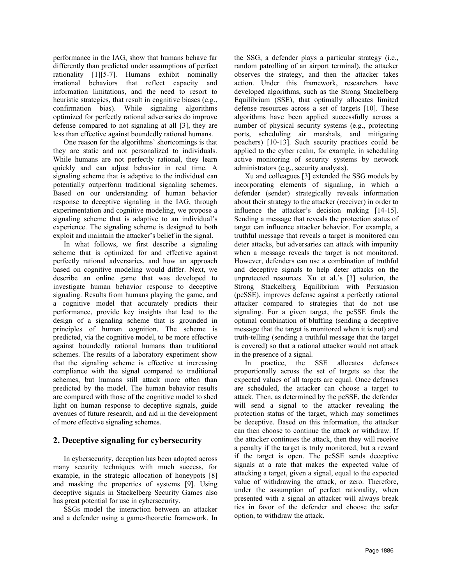performance in the IAG, show that humans behave far differently than predicted under assumptions of perfect rationality [1][5-7]. Humans exhibit nominally irrational behaviors that reflect capacity and information limitations, and the need to resort to heuristic strategies, that result in cognitive biases (e.g., confirmation bias). While signaling algorithms optimized for perfectly rational adversaries do improve defense compared to not signaling at all [3], they are less than effective against boundedly rational humans.

One reason for the algorithms' shortcomings is that they are static and not personalized to individuals. While humans are not perfectly rational, they learn quickly and can adjust behavior in real time. A signaling scheme that is adaptive to the individual can potentially outperform traditional signaling schemes. Based on our understanding of human behavior response to deceptive signaling in the IAG, through experimentation and cognitive modeling, we propose a signaling scheme that is adaptive to an individual's experience. The signaling scheme is designed to both exploit and maintain the attacker's belief in the signal.

In what follows, we first describe a signaling scheme that is optimized for and effective against perfectly rational adversaries, and how an approach based on cognitive modeling would differ. Next, we describe an online game that was developed to investigate human behavior response to deceptive signaling. Results from humans playing the game, and a cognitive model that accurately predicts their performance, provide key insights that lead to the design of a signaling scheme that is grounded in principles of human cognition. The scheme is predicted, via the cognitive model, to be more effective against boundedly rational humans than traditional schemes. The results of a laboratory experiment show that the signaling scheme is effective at increasing compliance with the signal compared to traditional schemes, but humans still attack more often than predicted by the model. The human behavior results are compared with those of the cognitive model to shed light on human response to deceptive signals, guide avenues of future research, and aid in the development of more effective signaling schemes.

# **2. Deceptive signaling for cybersecurity**

In cybersecurity, deception has been adopted across many security techniques with much success, for example, in the strategic allocation of honeypots [8] and masking the properties of systems [9]. Using deceptive signals in Stackelberg Security Games also has great potential for use in cybersecurity.

SSGs model the interaction between an attacker and a defender using a game-theoretic framework. In

the SSG, a defender plays a particular strategy (i.e., random patrolling of an airport terminal), the attacker observes the strategy, and then the attacker takes action. Under this framework, researchers have developed algorithms, such as the Strong Stackelberg Equilibrium (SSE), that optimally allocates limited defense resources across a set of targets [10]. These algorithms have been applied successfully across a number of physical security systems (e.g., protecting ports, scheduling air marshals, and mitigating poachers) [10-13]. Such security practices could be applied to the cyber realm, for example, in scheduling active monitoring of security systems by network administrators (e.g., security analysts).

Xu and colleagues [3] extended the SSG models by incorporating elements of signaling, in which a defender (sender) strategically reveals information about their strategy to the attacker (receiver) in order to influence the attacker's decision making [14-15]. Sending a message that reveals the protection status of target can influence attacker behavior. For example, a truthful message that reveals a target is monitored can deter attacks, but adversaries can attack with impunity when a message reveals the target is not monitored. However, defenders can use a combination of truthful and deceptive signals to help deter attacks on the unprotected resources. Xu et al.'s [3] solution, the Strong Stackelberg Equilibrium with Persuasion (peSSE), improves defense against a perfectly rational attacker compared to strategies that do not use signaling. For a given target, the peSSE finds the optimal combination of bluffing (sending a deceptive message that the target is monitored when it is not) and truth-telling (sending a truthful message that the target is covered) so that a rational attacker would not attack in the presence of a signal.

In practice, the SSE allocates defenses proportionally across the set of targets so that the expected values of all targets are equal. Once defenses are scheduled, the attacker can choose a target to attack. Then, as determined by the peSSE, the defender will send a signal to the attacker revealing the protection status of the target, which may sometimes be deceptive. Based on this information, the attacker can then choose to continue the attack or withdraw. If the attacker continues the attack, then they will receive a penalty if the target is truly monitored, but a reward if the target is open. The peSSE sends deceptive signals at a rate that makes the expected value of attacking a target, given a signal, equal to the expected value of withdrawing the attack, or zero. Therefore, under the assumption of perfect rationality, when presented with a signal an attacker will always break ties in favor of the defender and choose the safer option, to withdraw the attack.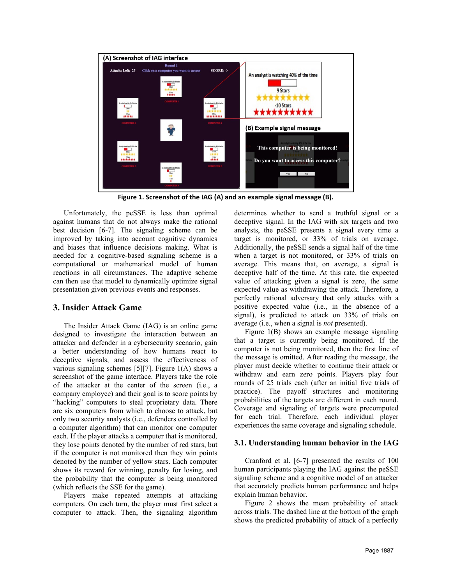

**Figure 1. Screenshot of the IAG (A) and an example signal message (B).**

Unfortunately, the peSSE is less than optimal against humans that do not always make the rational best decision [6-7]. The signaling scheme can be improved by taking into account cognitive dynamics and biases that influence decisions making. What is needed for a cognitive-based signaling scheme is a computational or mathematical model of human reactions in all circumstances. The adaptive scheme can then use that model to dynamically optimize signal presentation given previous events and responses.

## **3. Insider Attack Game**

The Insider Attack Game (IAG) is an online game designed to investigate the interaction between an attacker and defender in a cybersecurity scenario, gain a better understanding of how humans react to deceptive signals, and assess the effectiveness of various signaling schemes [5][7]. Figure 1(A) shows a screenshot of the game interface. Players take the role of the attacker at the center of the screen (i.e., a company employee) and their goal is to score points by "hacking" computers to steal proprietary data. There are six computers from which to choose to attack, but only two security analysts (i.e., defenders controlled by a computer algorithm) that can monitor one computer each. If the player attacks a computer that is monitored, they lose points denoted by the number of red stars, but if the computer is not monitored then they win points denoted by the number of yellow stars. Each computer shows its reward for winning, penalty for losing, and the probability that the computer is being monitored (which reflects the SSE for the game).

Players make repeated attempts at attacking computers. On each turn, the player must first select a computer to attack. Then, the signaling algorithm

determines whether to send a truthful signal or a deceptive signal. In the IAG with six targets and two analysts, the peSSE presents a signal every time a target is monitored, or 33% of trials on average. Additionally, the peSSE sends a signal half of the time when a target is not monitored, or 33% of trials on average. This means that, on average, a signal is deceptive half of the time. At this rate, the expected value of attacking given a signal is zero, the same expected value as withdrawing the attack. Therefore, a perfectly rational adversary that only attacks with a positive expected value (i.e., in the absence of a signal), is predicted to attack on 33% of trials on average (i.e., when a signal is *not* presented).

Figure 1(B) shows an example message signaling that a target is currently being monitored. If the computer is not being monitored, then the first line of the message is omitted. After reading the message, the player must decide whether to continue their attack or withdraw and earn zero points. Players play four rounds of 25 trials each (after an initial five trials of practice). The payoff structures and monitoring probabilities of the targets are different in each round. Coverage and signaling of targets were precomputed for each trial. Therefore, each individual player experiences the same coverage and signaling schedule.

#### **3.1. Understanding human behavior in the IAG**

Cranford et al. [6-7] presented the results of 100 human participants playing the IAG against the peSSE signaling scheme and a cognitive model of an attacker that accurately predicts human performance and helps explain human behavior.

Figure 2 shows the mean probability of attack across trials. The dashed line at the bottom of the graph shows the predicted probability of attack of a perfectly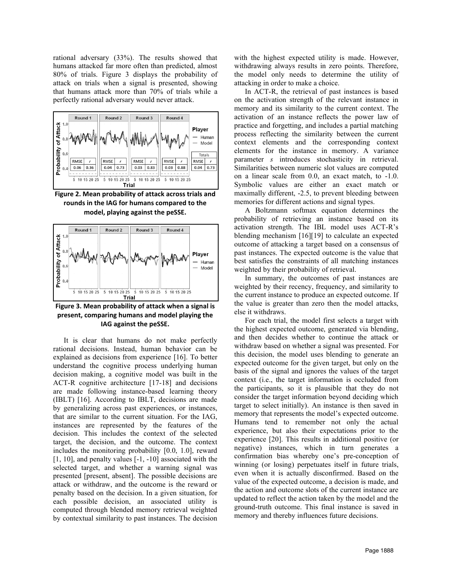rational adversary (33%). The results showed that humans attacked far more often than predicted, almost 80% of trials. Figure 3 displays the probability of attack on trials when a signal is presented, showing that humans attack more than 70% of trials while a perfectly rational adversary would never attack.



**Figure 2. Mean probability of attack across trials and rounds in the IAG for humans compared to the model, playing against the peSSE.**



**Figure 3. Mean probability of attack when a signal is present, comparing humans and model playing the IAG against the peSSE.**

It is clear that humans do not make perfectly rational decisions. Instead, human behavior can be explained as decisions from experience [16]. To better understand the cognitive process underlying human decision making, a cognitive model was built in the ACT-R cognitive architecture [17-18] and decisions are made following instance-based learning theory (IBLT) [16]. According to IBLT, decisions are made by generalizing across past experiences, or instances, that are similar to the current situation. For the IAG, instances are represented by the features of the decision. This includes the context of the selected target, the decision, and the outcome. The context includes the monitoring probability [0.0, 1.0], reward [1, 10], and penalty values [-1, -10] associated with the selected target, and whether a warning signal was presented [present, absent]. The possible decisions are attack or withdraw, and the outcome is the reward or penalty based on the decision. In a given situation, for each possible decision, an associated utility is computed through blended memory retrieval weighted by contextual similarity to past instances. The decision

with the highest expected utility is made. However, withdrawing always results in zero points. Therefore, the model only needs to determine the utility of attacking in order to make a choice.

In ACT-R, the retrieval of past instances is based on the activation strength of the relevant instance in memory and its similarity to the current context. The activation of an instance reflects the power law of practice and forgetting, and includes a partial matching process reflecting the similarity between the current context elements and the corresponding context elements for the instance in memory. A variance parameter *s* introduces stochasticity in retrieval. Similarities between numeric slot values are computed on a linear scale from 0.0, an exact match, to -1.0. Symbolic values are either an exact match or maximally different, -2.5, to prevent bleeding between memories for different actions and signal types.

A Boltzmann softmax equation determines the probability of retrieving an instance based on its activation strength. The IBL model uses ACT-R's blending mechanism [16][19] to calculate an expected outcome of attacking a target based on a consensus of past instances. The expected outcome is the value that best satisfies the constraints of all matching instances weighted by their probability of retrieval.

In summary, the outcomes of past instances are weighted by their recency, frequency, and similarity to the current instance to produce an expected outcome. If the value is greater than zero then the model attacks, else it withdraws.

For each trial, the model first selects a target with the highest expected outcome, generated via blending, and then decides whether to continue the attack or withdraw based on whether a signal was presented. For this decision, the model uses blending to generate an expected outcome for the given target, but only on the basis of the signal and ignores the values of the target context (i.e., the target information is occluded from the participants, so it is plausible that they do not consider the target information beyond deciding which target to select initially). An instance is then saved in memory that represents the model's expected outcome. Humans tend to remember not only the actual experience, but also their expectations prior to the experience [20]. This results in additional positive (or negative) instances, which in turn generates a confirmation bias whereby one's pre-conception of winning (or losing) perpetuates itself in future trials, even when it is actually disconfirmed. Based on the value of the expected outcome, a decision is made, and the action and outcome slots of the current instance are updated to reflect the action taken by the model and the ground-truth outcome. This final instance is saved in memory and thereby influences future decisions.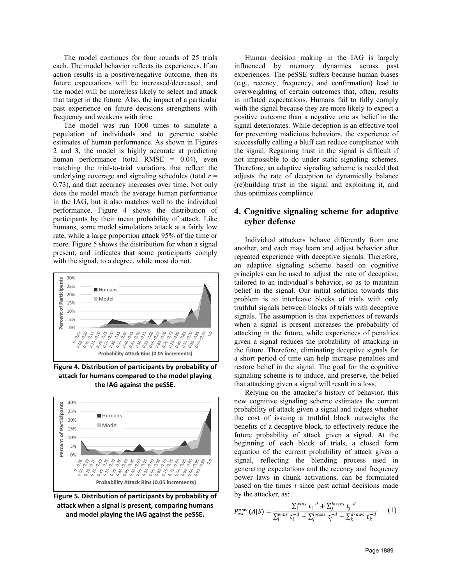The model continues for four rounds of 25 trials each. The model behavior reflects its experiences. If an action results in a positive/negative outcome, then its future expectations will be increased/decreased, and the model will be more/less likely to select and attack that target in the future. Also, the impact of a particular past experience on future decisions strengthens with frequency and weakens with time.

The model was run 1000 times to simulate a population of individuals and to generate stable estimates of human performance. As shown in Figures 2 and 3, the model is highly accurate at predicting human performance (total RMSE =  $0.04$ ), even matching the trial-to-trial variations that reflect the underlying coverage and signaling schedules (total  $r =$ 0.73), and that accuracy increases over time. Not only does the model match the average human performance in the IAG, but it also matches well to the individual performance. Figure 4 shows the distribution of participants by their mean probability of attack. Like humans, some model simulations attack at a fairly low rate, while a large proportion attack 95% of the time or more. Figure 5 shows the distribution for when a signal present, and indicates that some participants comply with the signal, to a degree, while most do not.



**Figure 4. Distribution of participants by probability of attack for humans compared to the model playing the IAG against the peSSE.**



**Figure 5. Distribution of participants by probability of attack when a signal is present, comparing humans and model playing the IAG against the peSSE.**

Human decision making in the IAG is largely influenced by memory dynamics across past experiences. The peSSE suffers because human biases (e.g., recency, frequency, and confirmation) lead to overweighting of certain outcomes that, often, results in inflated expectations. Humans fail to fully comply with the signal because they are more likely to expect a positive outcome than a negative one as belief in the signal deteriorates. While deception is an effective tool for preventing malicious behaviors, the experience of successfully calling a bluff can reduce compliance with the signal. Regaining trust in the signal is difficult if not impossible to do under static signaling schemes. Therefore, an adaptive signaling scheme is needed that adjusts the rate of deception to dynamically balance (re)building trust in the signal and exploiting it, and thus optimizes compliance.

# **4. Cognitive signaling scheme for adaptive cyber defense**

Individual attackers behave differently from one another, and each may learn and adjust behavior after repeated experience with deceptive signals. Therefore, an adaptive signaling scheme based on cognitive principles can be used to adjust the rate of deception, tailored to an individual's behavior, so as to maintain belief in the signal. Our initial solution towards this problem is to interleave blocks of trials with only truthful signals between blocks of trials with deceptive signals. The assumption is that experiences of rewards when a signal is present increases the probability of attacking in the future, while experiences of penalties given a signal reduces the probability of attacking in the future. Therefore, eliminating deceptive signals for a short period of time can help increase penalties and restore belief in the signal. The goal for the cognitive signaling scheme is to induce, and preserve, the belief that attacking given a signal will result in a loss.

Relying on the attacker's history of behavior, this new cognitive signaling scheme estimates the current probability of attack given a signal and judges whether the cost of issuing a truthful block outweighs the benefits of a deceptive block, to effectively reduce the future probability of attack given a signal. At the beginning of each block of trials, a closed form equation of the current probability of attack given a signal, reflecting the blending process used in generating expectations and the recency and frequency power laws in chunk activations, can be formulated based on the times *t* since past actual decisions made by the attacker, as:

$$
P_{est}^{now}(A|S) = \frac{\sum_{i}^{wins} t_i^{-d} + \sum_{j}^{losses} t_j^{-d}}{\sum_{i}^{wins} t_i^{-d} + \sum_{j}^{losses} t_j^{-d} + \sum_{k}^{draws} t_k^{-d}}
$$
 (1)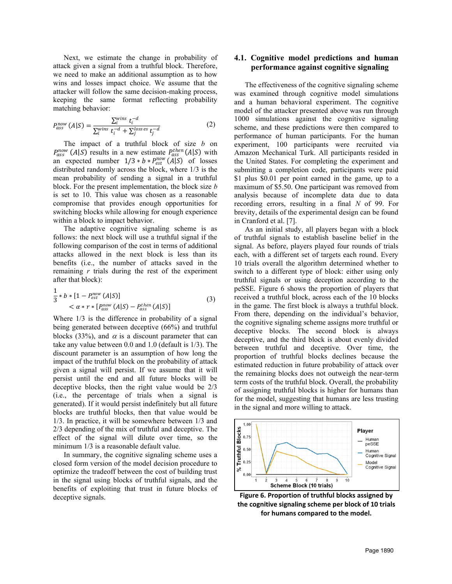Next, we estimate the change in probability of attack given a signal from a truthful block. Therefore, we need to make an additional assumption as to how wins and losses impact choice. We assume that the attacker will follow the same decision-making process, keeping the same format reflecting probability matching behavior:

$$
P_{ass}^{now} (A|S) = \frac{\sum_{i}^{wins} t_i^{-d}}{\sum_{i}^{wins} t_i^{-d} + \sum_{j}^{losses} t_j^{-d}}
$$
(2)

The impact of a truthful block of size *b* on  $P_{ass}^{now}(A|S)$  results in a new estimate  $P_{ass}^{then}(A|S)$  with an expected number  $1/3 * b * P_{est}^{now}(A|S)$  of losses distributed randomly across the block, where 1/3 is the mean probability of sending a signal in a truthful block. For the present implementation, the block size *b* is set to 10. This value was chosen as a reasonable compromise that provides enough opportunities for switching blocks while allowing for enough experience within a block to impact behavior.

The adaptive cognitive signaling scheme is as follows: the next block will use a truthful signal if the following comparison of the cost in terms of additional attacks allowed in the next block is less than its benefits (i.e., the number of attacks saved in the remaining *r* trials during the rest of the experiment after that block):

$$
\frac{1}{3} * b * [1 - P_{est}^{now}(A|S)]
$$
  

$$
< \alpha * r * [P_{ass}^{now}(A|S) - P_{ass}^{then}(A|S)]
$$
(3)

Where  $1/3$  is the difference in probability of a signal being generated between deceptive (66%) and truthful blocks (33%), and  $\alpha$  is a discount parameter that can take any value between 0.0 and 1.0 (default is 1/3). The discount parameter is an assumption of how long the impact of the truthful block on the probability of attack given a signal will persist. If we assume that it will persist until the end and all future blocks will be deceptive blocks, then the right value would be 2/3 (i.e., the percentage of trials when a signal is generated). If it would persist indefinitely but all future blocks are truthful blocks, then that value would be 1/3. In practice, it will be somewhere between 1/3 and 2/3 depending of the mix of truthful and deceptive. The effect of the signal will dilute over time, so the minimum 1/3 is a reasonable default value.

In summary, the cognitive signaling scheme uses a closed form version of the model decision procedure to optimize the tradeoff between the cost of building trust in the signal using blocks of truthful signals, and the benefits of exploiting that trust in future blocks of deceptive signals.

#### **4.1. Cognitive model predictions and human performance against cognitive signaling**

The effectiveness of the cognitive signaling scheme was examined through cognitive model simulations and a human behavioral experiment. The cognitive model of the attacker presented above was run through 1000 simulations against the cognitive signaling scheme, and these predictions were then compared to performance of human participants. For the human experiment, 100 participants were recruited via Amazon Mechanical Turk. All participants resided in the United States. For completing the experiment and submitting a completion code, participants were paid \$1 plus \$0.01 per point earned in the game, up to a maximum of \$5.50. One participant was removed from analysis because of incomplete data due to data recording errors, resulting in a final *N* of 99. For brevity, details of the experimental design can be found in Cranford et al. [7].

As an initial study, all players began with a block of truthful signals to establish baseline belief in the signal. As before, players played four rounds of trials each, with a different set of targets each round. Every 10 trials overall the algorithm determined whether to switch to a different type of block: either using only truthful signals or using deception according to the peSSE. Figure 6 shows the proportion of players that received a truthful block, across each of the 10 blocks in the game. The first block is always a truthful block. From there, depending on the individual's behavior, the cognitive signaling scheme assigns more truthful or deceptive blocks. The second block is always deceptive, and the third block is about evenly divided between truthful and deceptive. Over time, the proportion of truthful blocks declines because the estimated reduction in future probability of attack over the remaining blocks does not outweigh the near-term term costs of the truthful block. Overall, the probability of assigning truthful blocks is higher for humans than for the model, suggesting that humans are less trusting in the signal and more willing to attack.



**Figure 6. Proportion of truthful blocks assigned by the cognitive signaling scheme per block of 10 trials for humans compared to the model.**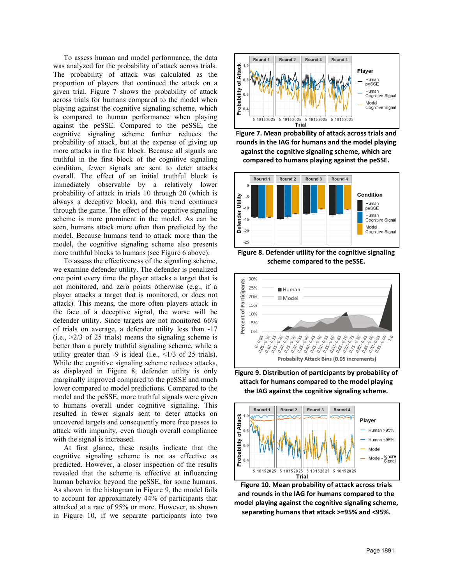To assess human and model performance, the data was analyzed for the probability of attack across trials. The probability of attack was calculated as the proportion of players that continued the attack on a given trial. Figure 7 shows the probability of attack across trials for humans compared to the model when playing against the cognitive signaling scheme, which is compared to human performance when playing against the peSSE. Compared to the peSSE, the cognitive signaling scheme further reduces the probability of attack, but at the expense of giving up more attacks in the first block. Because all signals are truthful in the first block of the cognitive signaling condition, fewer signals are sent to deter attacks overall. The effect of an initial truthful block is immediately observable by a relatively lower probability of attack in trials 10 through 20 (which is always a deceptive block), and this trend continues through the game. The effect of the cognitive signaling scheme is more prominent in the model. As can be seen, humans attack more often than predicted by the model. Because humans tend to attack more than the model, the cognitive signaling scheme also presents more truthful blocks to humans (see Figure 6 above).

To assess the effectiveness of the signaling scheme, we examine defender utility. The defender is penalized one point every time the player attacks a target that is not monitored, and zero points otherwise (e.g., if a player attacks a target that is monitored, or does not attack). This means, the more often players attack in the face of a deceptive signal, the worse will be defender utility. Since targets are not monitored 66% of trials on average, a defender utility less than -17  $(i.e., >2/3$  of 25 trials) means the signaling scheme is better than a purely truthful signaling scheme, while a utility greater than  $-9$  is ideal (i.e.,  $\leq 1/3$  of 25 trials). While the cognitive signaling scheme reduces attacks, as displayed in Figure 8, defender utility is only marginally improved compared to the peSSE and much lower compared to model predictions. Compared to the model and the peSSE, more truthful signals were given to humans overall under cognitive signaling. This resulted in fewer signals sent to deter attacks on uncovered targets and consequently more free passes to attack with impunity, even though overall compliance with the signal is increased.

At first glance, these results indicate that the cognitive signaling scheme is not as effective as predicted. However, a closer inspection of the results revealed that the scheme is effective at influencing human behavior beyond the peSSE, for some humans. As shown in the histogram in Figure 9, the model fails to account for approximately 44% of participants that attacked at a rate of 95% or more. However, as shown in Figure 10, if we separate participants into two



**Figure 7. Mean probability of attack across trials and rounds in the IAG for humans and the model playing against the cognitive signaling scheme, which are compared to humans playing against the peSSE.**



**Figure 8. Defender utility for the cognitive signaling scheme compared to the peSSE.**



**Figure 9. Distribution of participants by probability of attack for humans compared to the model playing the IAG against the cognitive signaling scheme.**



**Figure 10. Mean probability of attack across trials and rounds in the IAG for humans compared to the model playing against the cognitive signaling scheme, separating humans that attack >=95% and <95%.**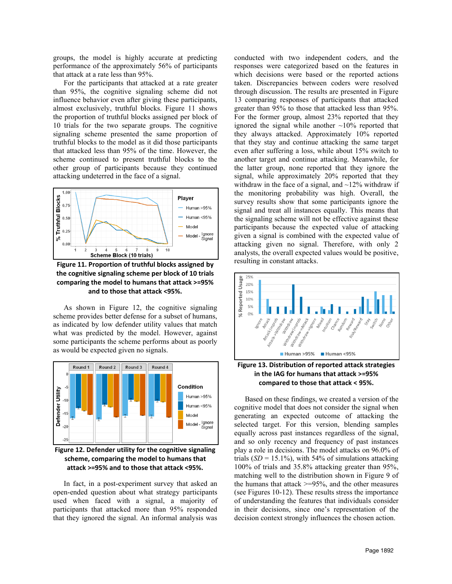groups, the model is highly accurate at predicting performance of the approximately 56% of participants that attack at a rate less than 95%.

For the participants that attacked at a rate greater than 95%, the cognitive signaling scheme did not influence behavior even after giving these participants, almost exclusively, truthful blocks. Figure 11 shows the proportion of truthful blocks assigned per block of 10 trials for the two separate groups. The cognitive signaling scheme presented the same proportion of truthful blocks to the model as it did those participants that attacked less than 95% of the time. However, the scheme continued to present truthful blocks to the other group of participants because they continued attacking undeterred in the face of a signal.



**Figure 11. Proportion of truthful blocks assigned by the cognitive signaling scheme per block of 10 trials comparing the model to humans that attack >=95% and to those that attack <95%.**

As shown in Figure 12, the cognitive signaling scheme provides better defense for a subset of humans, as indicated by low defender utility values that match what was predicted by the model. However, against some participants the scheme performs about as poorly as would be expected given no signals.



**Figure 12. Defender utility for the cognitive signaling scheme, comparing the model to humans that attack >=95% and to those that attack <95%.**

In fact, in a post-experiment survey that asked an open-ended question about what strategy participants used when faced with a signal, a majority of participants that attacked more than 95% responded that they ignored the signal. An informal analysis was

conducted with two independent coders, and the responses were categorized based on the features in which decisions were based or the reported actions taken. Discrepancies between coders were resolved through discussion. The results are presented in Figure 13 comparing responses of participants that attacked greater than 95% to those that attacked less than 95%. For the former group, almost 23% reported that they ignored the signal while another  $~10\%$  reported that they always attacked. Approximately 10% reported that they stay and continue attacking the same target even after suffering a loss, while about 15% switch to another target and continue attacking. Meanwhile, for the latter group, none reported that they ignore the signal, while approximately 20% reported that they withdraw in the face of a signal, and  $\sim$ 12% withdraw if the monitoring probability was high. Overall, the survey results show that some participants ignore the signal and treat all instances equally. This means that the signaling scheme will not be effective against these participants because the expected value of attacking given a signal is combined with the expected value of attacking given no signal. Therefore, with only 2 analysts, the overall expected values would be positive, resulting in constant attacks.



**Figure 13. Distribution of reported attack strategies in the IAG for humans that attack >=95% compared to those that attack < 95%.**

Based on these findings, we created a version of the cognitive model that does not consider the signal when generating an expected outcome of attacking the selected target. For this version, blending samples equally across past instances regardless of the signal, and so only recency and frequency of past instances play a role in decisions. The model attacks on 96.0% of trials  $(SD = 15.1\%)$ , with 54% of simulations attacking 100% of trials and 35.8% attacking greater than 95%, matching well to the distribution shown in Figure 9 of the humans that attack  $\geq$ =95%, and the other measures (see Figures 10-12). These results stress the importance of understanding the features that individuals consider in their decisions, since one's representation of the decision context strongly influences the chosen action.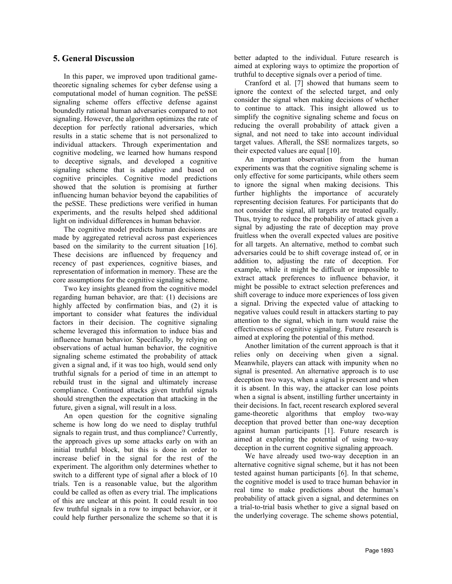## **5. General Discussion**

In this paper, we improved upon traditional gametheoretic signaling schemes for cyber defense using a computational model of human cognition. The peSSE signaling scheme offers effective defense against boundedly rational human adversaries compared to not signaling. However, the algorithm optimizes the rate of deception for perfectly rational adversaries, which results in a static scheme that is not personalized to individual attackers. Through experimentation and cognitive modeling, we learned how humans respond to deceptive signals, and developed a cognitive signaling scheme that is adaptive and based on cognitive principles. Cognitive model predictions showed that the solution is promising at further influencing human behavior beyond the capabilities of the peSSE. These predictions were verified in human experiments, and the results helped shed additional light on individual differences in human behavior.

The cognitive model predicts human decisions are made by aggregated retrieval across past experiences based on the similarity to the current situation [16]. These decisions are influenced by frequency and recency of past experiences, cognitive biases, and representation of information in memory. These are the core assumptions for the cognitive signaling scheme.

Two key insights gleaned from the cognitive model regarding human behavior, are that: (1) decisions are highly affected by confirmation bias, and (2) it is important to consider what features the individual factors in their decision. The cognitive signaling scheme leveraged this information to induce bias and influence human behavior. Specifically, by relying on observations of actual human behavior, the cognitive signaling scheme estimated the probability of attack given a signal and, if it was too high, would send only truthful signals for a period of time in an attempt to rebuild trust in the signal and ultimately increase compliance. Continued attacks given truthful signals should strengthen the expectation that attacking in the future, given a signal, will result in a loss.

An open question for the cognitive signaling scheme is how long do we need to display truthful signals to regain trust, and thus compliance? Currently, the approach gives up some attacks early on with an initial truthful block, but this is done in order to increase belief in the signal for the rest of the experiment. The algorithm only determines whether to switch to a different type of signal after a block of 10 trials. Ten is a reasonable value, but the algorithm could be called as often as every trial. The implications of this are unclear at this point. It could result in too few truthful signals in a row to impact behavior, or it could help further personalize the scheme so that it is better adapted to the individual. Future research is aimed at exploring ways to optimize the proportion of truthful to deceptive signals over a period of time.

Cranford et al. [7] showed that humans seem to ignore the context of the selected target, and only consider the signal when making decisions of whether to continue to attack. This insight allowed us to simplify the cognitive signaling scheme and focus on reducing the overall probability of attack given a signal, and not need to take into account individual target values. Afterall, the SSE normalizes targets, so their expected values are equal [10].

An important observation from the human experiments was that the cognitive signaling scheme is only effective for some participants, while others seem to ignore the signal when making decisions. This further highlights the importance of accurately representing decision features. For participants that do not consider the signal, all targets are treated equally. Thus, trying to reduce the probability of attack given a signal by adjusting the rate of deception may prove fruitless when the overall expected values are positive for all targets. An alternative, method to combat such adversaries could be to shift coverage instead of, or in addition to, adjusting the rate of deception. For example, while it might be difficult or impossible to extract attack preferences to influence behavior, it might be possible to extract selection preferences and shift coverage to induce more experiences of loss given a signal. Driving the expected value of attacking to negative values could result in attackers starting to pay attention to the signal, which in turn would raise the effectiveness of cognitive signaling. Future research is aimed at exploring the potential of this method.

Another limitation of the current approach is that it relies only on deceiving when given a signal. Meanwhile, players can attack with impunity when no signal is presented. An alternative approach is to use deception two ways, when a signal is present and when it is absent. In this way, the attacker can lose points when a signal is absent, instilling further uncertainty in their decisions. In fact, recent research explored several game-theoretic algorithms that employ two-way deception that proved better than one-way deception against human participants [1]. Future research is aimed at exploring the potential of using two-way deception in the current cognitive signaling approach.

We have already used two-way deception in an alternative cognitive signal scheme, but it has not been tested against human participants [6]. In that scheme, the cognitive model is used to trace human behavior in real time to make predictions about the human's probability of attack given a signal, and determines on a trial-to-trial basis whether to give a signal based on the underlying coverage. The scheme shows potential,